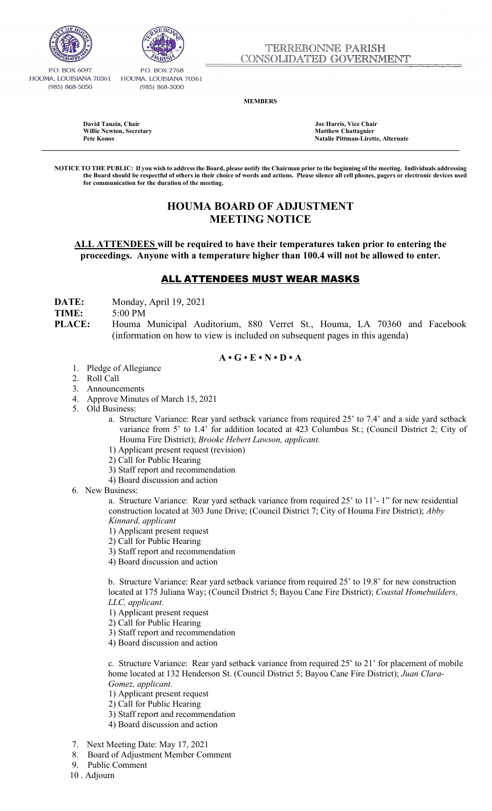



P.O. BOX 6097 HOUMA, LOUISIANA 70361 (985) 868-5050

P.O. BOX 2768 HOUMA, LOUISIANA 70361 (985) 868-3000

**MEMBERS**

**David Tauzin, Chair Joe Harris, Vice Chair Willie Newton, Secretary Matthew Chattagnier**

**Pete Konos Natalie Pittman-Lirette, Alternate** 

**NOTICE TO THE PUBLIC: If you wish to address the Board, please notify the Chairman prior to the beginning of the meeting. Individuals addressing the Board should be respectful of others in their choice of words and actions. Please silence all cell phones, pagers or electronic devices used for communication for the duration of the meeting.**

# **HOUMA BOARD OF ADJUSTMENT MEETING NOTICE**

**ALL ATTENDEES will be required to have their temperatures taken prior to entering the proceedings. Anyone with a temperature higher than 100.4 will not be allowed to enter.** 

## ALL ATTENDEES MUST WEAR MASKS

**DATE:** Monday, April 19, 2021

### **TIME:** 5:00 PM

**PLACE:** Houma Municipal Auditorium, 880 Verret St., Houma, LA 70360 and Facebook (information on how to view is included on subsequent pages in this agenda)

### $A \cdot G \cdot E \cdot N \cdot D \cdot A$

- 1. Pledge of Allegiance
- 2. Roll Call
- 3. Announcements
- 4. Approve Minutes of March 15, 2021
- 5. Old Business:
	- a. Structure Variance: Rear yard setback variance from required 25' to 7.4' and a side yard setback variance from 5' to 1.4' for addition located at 423 Columbus St.; (Council District 2; City of Houma Fire District); *Brooke Hebert Lawson, applicant.*
	- 1) Applicant present request (revision)
	- 2) Call for Public Hearing
	- 3) Staff report and recommendation
	- 4) Board discussion and action
- 6. New Business:

a. Structure Variance: Rear yard setback variance from required 25' to 11'- 1" for new residential construction located at 303 June Drive; (Council District 7; City of Houma Fire District); *Abby Kinnard, applicant*

- 1) Applicant present request
- 2) Call for Public Hearing
- 3) Staff report and recommendation
- 4) Board discussion and action

 b. Structure Variance: Rear yard setback variance from required 25' to 19.8' for new construction located at 175 Juliana Way; (Council District 5; Bayou Cane Fire District); *Coastal Homebuilders, LLC, applicant.* 

1) Applicant present request

- 2) Call for Public Hearing
- 3) Staff report and recommendation
- 4) Board discussion and action

 c. Structure Variance: Rear yard setback variance from required 25' to 21' for placement of mobile home located at 132 Henderson St. (Council District 5; Bayou Cane Fire District); *Juan Clara- Gomez, applicant.* 

- 1) Applicant present request
- 2) Call for Public Hearing
- 3) Staff report and recommendation
- 4) Board discussion and action
- 7. Next Meeting Date: May 17, 2021
- 8. Board of Adjustment Member Comment
- 9. Public Comment

10 . Adjourn